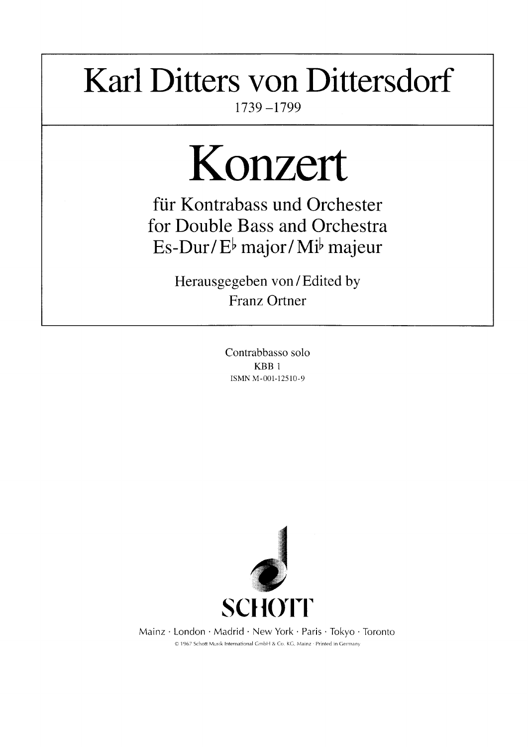## Karl Ditters von Dittersdorf

 $1739 - 1799$ 

## Konzert

für Kontrabass und Orchester for Double Bass and Orchestra Es-Dur/E<sup>b</sup> major/Mi<sup>b</sup> majeur

> Herausgegeben von/Edited by **Franz Ortner**

> > Contrabbasso solo KBB<sub>1</sub> ISMN M-001-12510-9



Mainz · London · Madrid · New York · Paris · Tokyo · Toronto © 1967 Schott Musik International GmbH & Co. KG, Mainz · Printed in Germany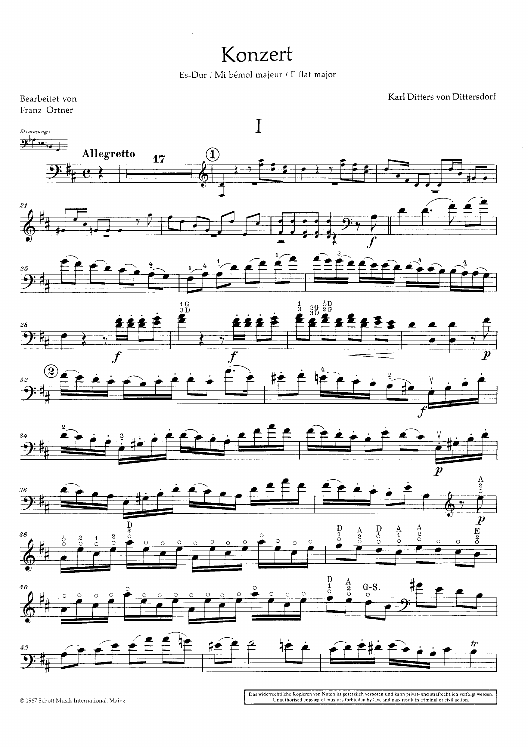## Konzert

Es-Dur / Mi bémol majeur / E flat major

Karl Ditters von Dittersdorf Bearbeitet von Franz Ortner I Stimmung:  $2^{b}$ Allegretto  $\mathbf{T}$ 17  $24$ 25  $^{26}_{3D}\,\substack{\text{OD}\\\text{2G}}$  $\begin{smallmatrix} 1 & G \ 3 & D \end{smallmatrix}$  $\frac{1}{3}$ £  $28^{\circ}$  $\overline{\bullet}$  $32^{\circ}$  $\frac{1}{\sqrt{2}}$ 34  $\boldsymbol{p}$  $\frac{A}{2}$  $36$  $\boldsymbol{p}$  $\frac{D}{1}$  $_{\rm 2}^{\rm A}$ doo  $\frac{A}{10}$  $\frac{A}{2}$  $\overline{E}$  $\overline{\widetilde{c}}$  $\frac{D}{4}$  $\frac{A}{2}$  $G-S$ .

© 1967 Schott Musik International, Mainz

Das widerrechtliche Kopieren von Noten ist gesetzlich verboten und kann privat- und strafrechtlich verfolgt werden.<br>Unauthorised copying of music is forbidden by law, and may result in criminal or civil action.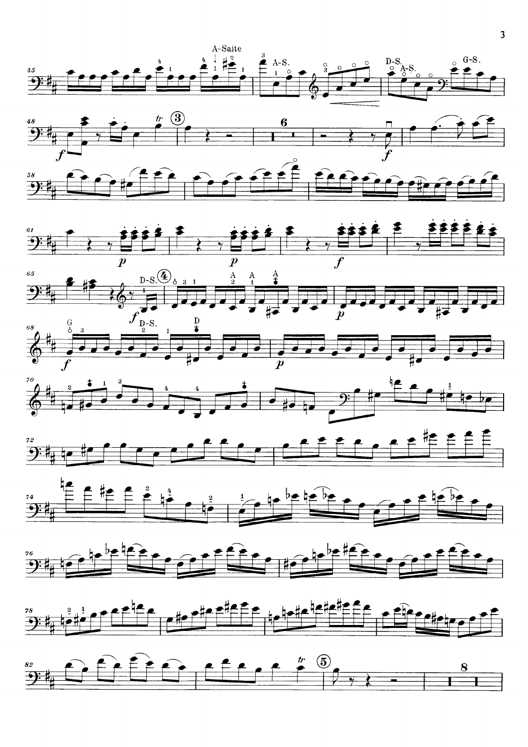





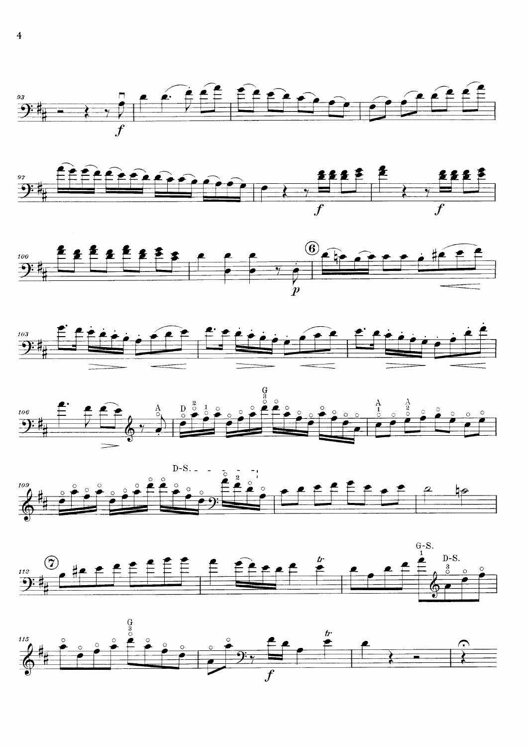













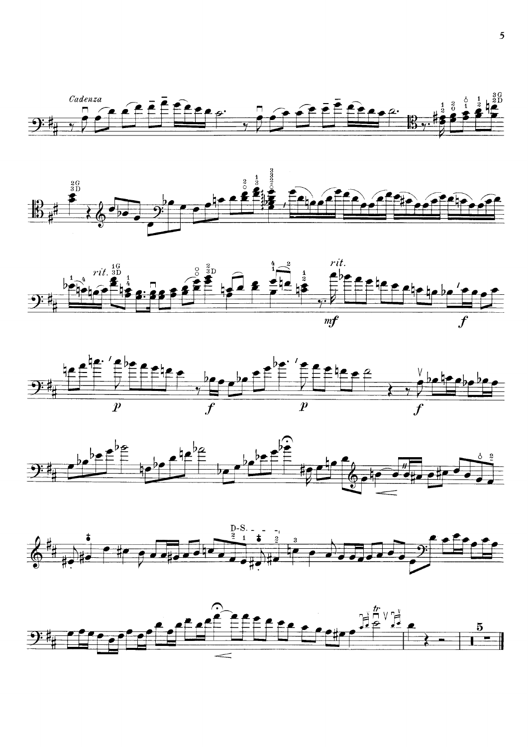











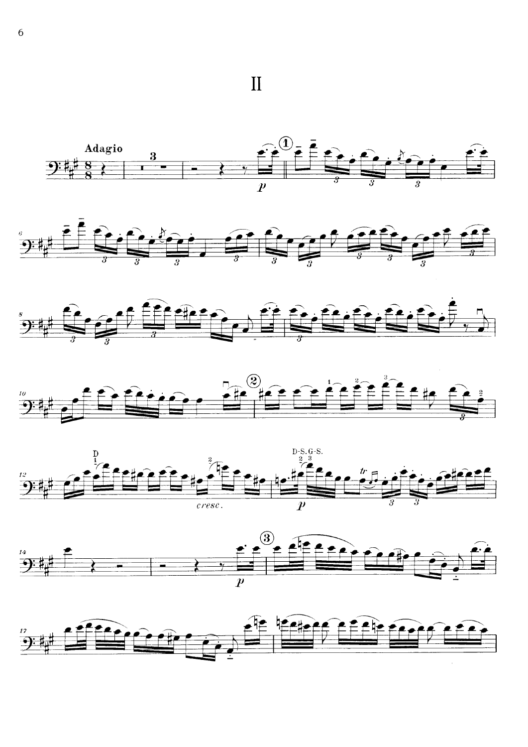













 $\prod$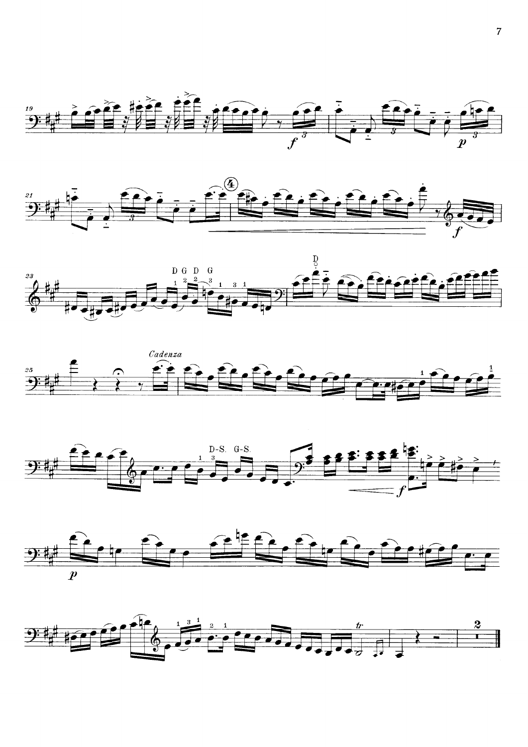











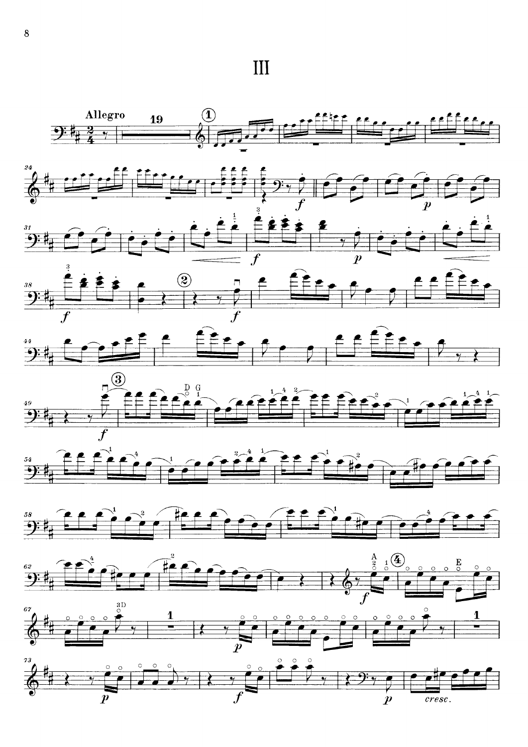

















III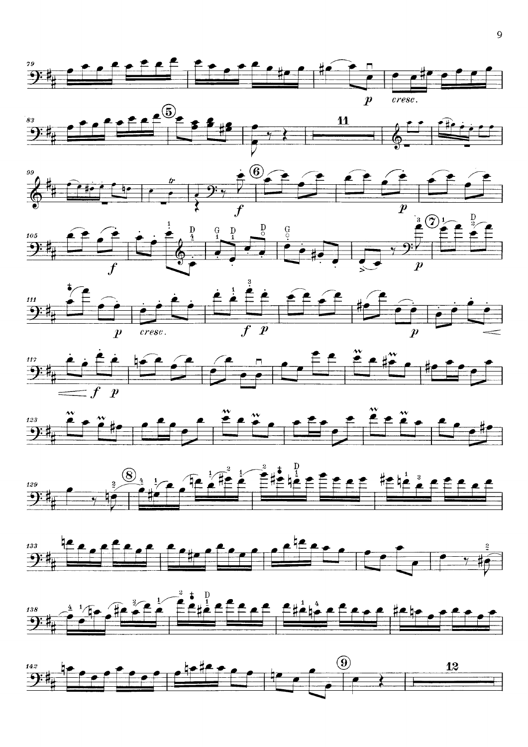